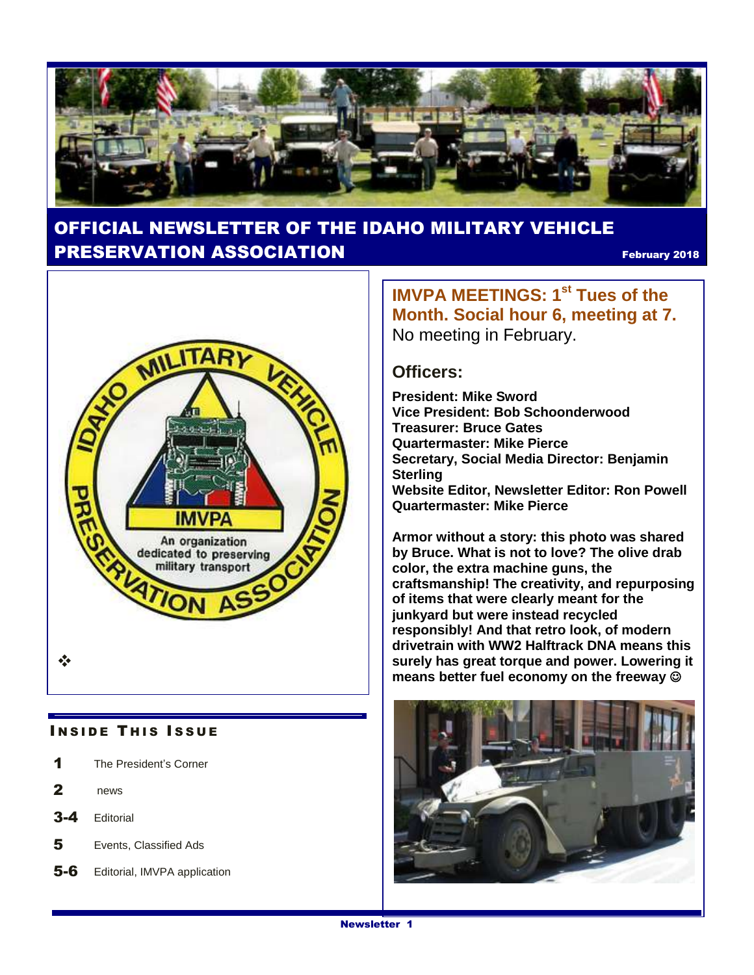

## OFFICIAL NEWSLETTER OF THE IDAHO MILITARY VEHICLE **PRESERVATION ASSOCIATION Example 2018** February 2018



#### **INSIDE THIS ISSUE**

- 1 The President's Corner
- 2 news
- 3-4 Editorial
- 5 Events, Classified Ads
- 5-6 Editorial, IMVPA application

**IMVPA MEETINGS: 1st Tues of the Month. Social hour 6, meeting at 7.**  No meeting in February.

#### **Officers:**

**President: Mike Sword Vice President: Bob Schoonderwood Treasurer: Bruce Gates Quartermaster: Mike Pierce Secretary, Social Media Director: Benjamin Sterling Website Editor, Newsletter Editor: Ron Powell Quartermaster: Mike Pierce**

**Armor without a story: this photo was shared by Bruce. What is not to love? The olive drab color, the extra machine guns, the craftsmanship! The creativity, and repurposing of items that were clearly meant for the junkyard but were instead recycled responsibly! And that retro look, of modern drivetrain with WW2 Halftrack DNA means this surely has great torque and power. Lowering it means better fuel economy on the freeway** 

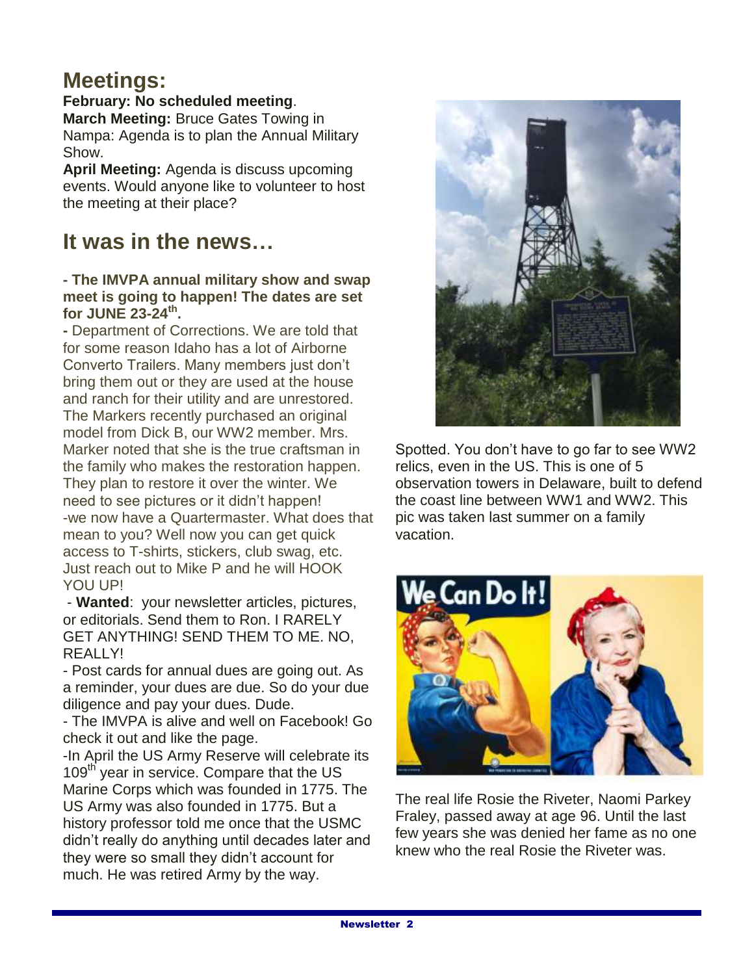## **Meetings:**

### **February: No scheduled meeting**.

**March Meeting:** Bruce Gates Towing in Nampa: Agenda is to plan the Annual Military Show.

**April Meeting:** Agenda is discuss upcoming events. Would anyone like to volunteer to host the meeting at their place?

## **It was in the news…**

#### **- The IMVPA annual military show and swap meet is going to happen! The dates are set for JUNE 23-24th .**

**-** Department of Corrections. We are told that for some reason Idaho has a lot of Airborne Converto Trailers. Many members just don't bring them out or they are used at the house and ranch for their utility and are unrestored. The Markers recently purchased an original model from Dick B, our WW2 member. Mrs. Marker noted that she is the true craftsman in the family who makes the restoration happen. They plan to restore it over the winter. We need to see pictures or it didn't happen! -we now have a Quartermaster. What does that mean to you? Well now you can get quick access to T-shirts, stickers, club swag, etc. Just reach out to Mike P and he will HOOK YOU UP!

- **Wanted**: your newsletter articles, pictures, or editorials. Send them to Ron. I RARELY GET ANYTHING! SEND THEM TO ME. NO, REALLY!

- Post cards for annual dues are going out. As a reminder, your dues are due. So do your due diligence and pay your dues. Dude.

- The IMVPA is alive and well on Facebook! Go check it out and like the page.

-In April the US Army Reserve will celebrate its 109<sup>th</sup> year in service. Compare that the US Marine Corps which was founded in 1775. The US Army was also founded in 1775. But a history professor told me once that the USMC didn't really do anything until decades later and they were so small they didn't account for much. He was retired Army by the way.



Spotted. You don't have to go far to see WW2 relics, even in the US. This is one of 5 observation towers in Delaware, built to defend the coast line between WW1 and WW2. This pic was taken last summer on a family vacation.



The real life Rosie the Riveter, Naomi Parkey Fraley, passed away at age 96. Until the last few years she was denied her fame as no one knew who the real Rosie the Riveter was.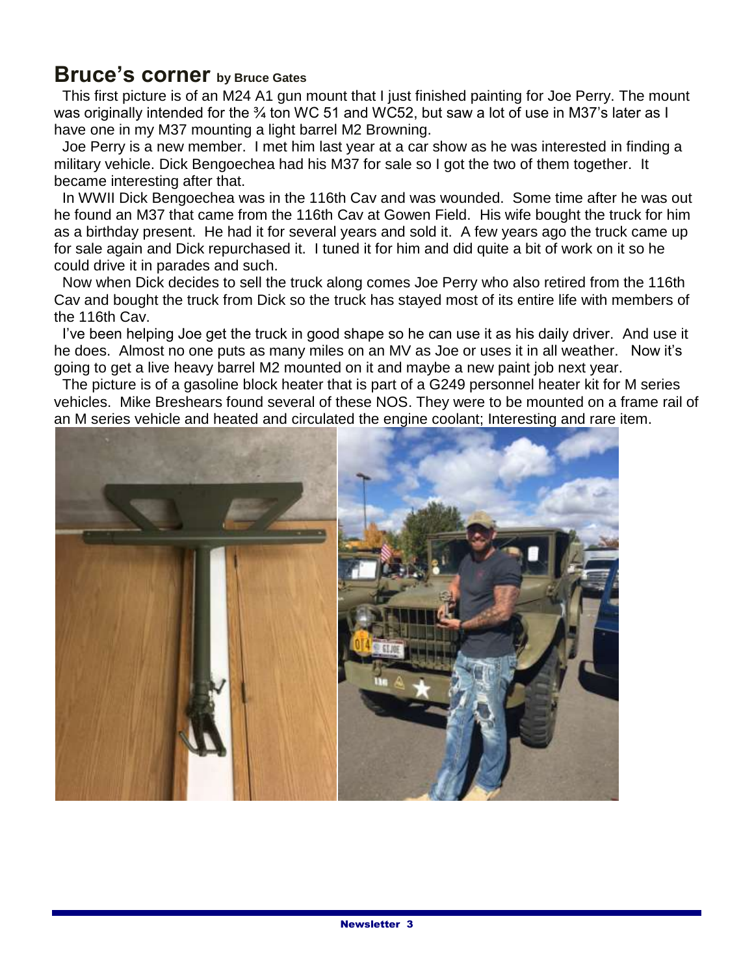## **Bruce's corner by Bruce Gates**

 This first picture is of an M24 A1 gun mount that I just finished painting for Joe Perry. The mount was originally intended for the <sup>3</sup>/<sub>4</sub> ton WC 51 and WC52, but saw a lot of use in M37's later as I have one in my M37 mounting a light barrel M2 Browning.

 Joe Perry is a new member. I met him last year at a car show as he was interested in finding a military vehicle. Dick Bengoechea had his M37 for sale so I got the two of them together. It became interesting after that.

 In WWII Dick Bengoechea was in the 116th Cav and was wounded. Some time after he was out he found an M37 that came from the 116th Cav at Gowen Field. His wife bought the truck for him as a birthday present. He had it for several years and sold it. A few years ago the truck came up for sale again and Dick repurchased it. I tuned it for him and did quite a bit of work on it so he could drive it in parades and such.

 Now when Dick decides to sell the truck along comes Joe Perry who also retired from the 116th Cav and bought the truck from Dick so the truck has stayed most of its entire life with members of the 116th Cav.

 I've been helping Joe get the truck in good shape so he can use it as his daily driver. And use it he does. Almost no one puts as many miles on an MV as Joe or uses it in all weather. Now it's going to get a live heavy barrel M2 mounted on it and maybe a new paint job next year.

The picture is of a gasoline block heater that is part of a G249 personnel heater kit for M series vehicles. Mike Breshears found several of these NOS. They were to be mounted on a frame rail of an M series vehicle and heated and circulated the engine coolant; Interesting and rare item.

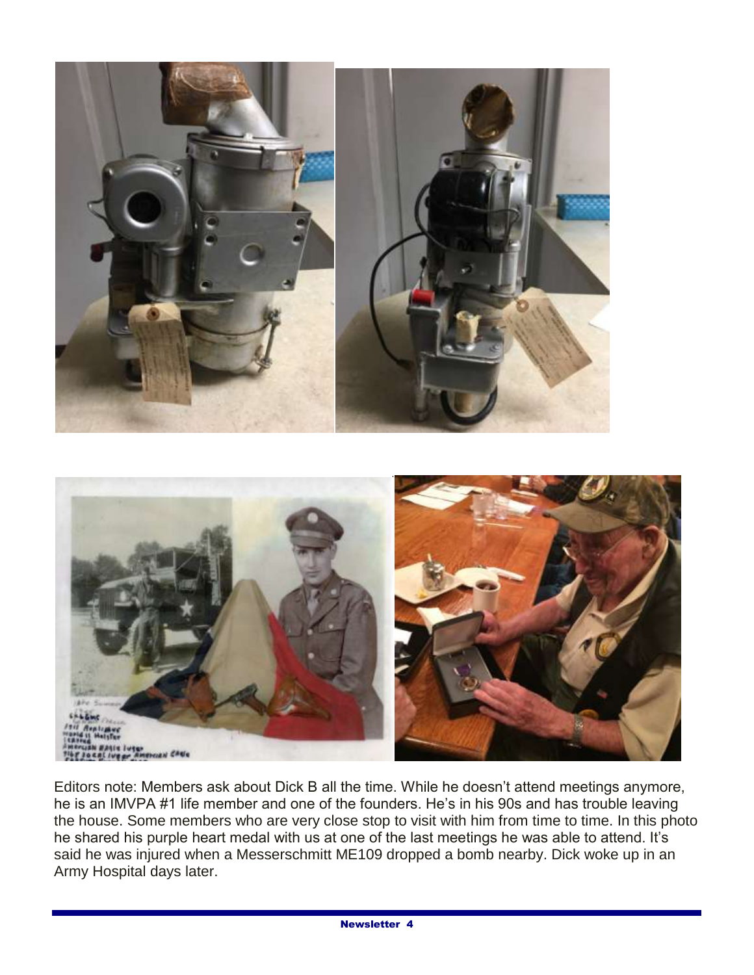

Editors note: Members ask about Dick B all the time. While he doesn't attend meetings anymore, he is an IMVPA #1 life member and one of the founders. He's in his 90s and has trouble leaving the house. Some members who are very close stop to visit with him from time to time. In this photo he shared his purple heart medal with us at one of the last meetings he was able to attend. It's said he was injured when a Messerschmitt ME109 dropped a bomb nearby. Dick woke up in an Army Hospital days later.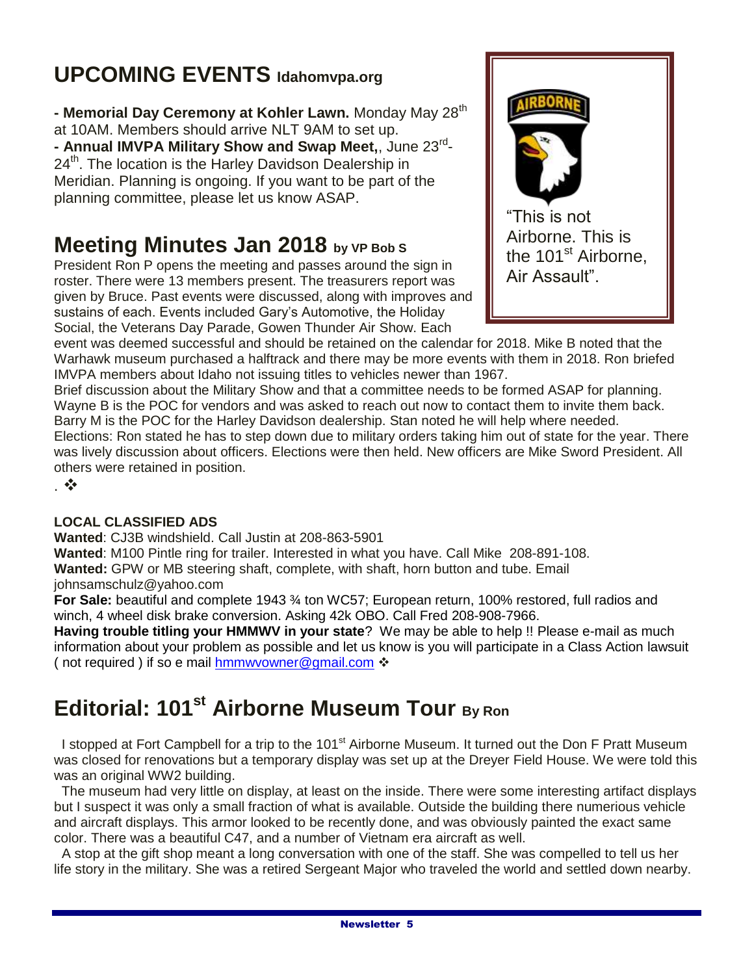# **UPCOMING EVENTS Idahomvpa.org**

**- Memorial Day Ceremony at Kohler Lawn.** Monday May 28th at 10AM. Members should arrive NLT 9AM to set up. **- Annual IMVPA Military Show and Swap Meet,**, June 23rd -  $24<sup>th</sup>$ . The location is the Harley Davidson Dealership in Meridian. Planning is ongoing. If you want to be part of the planning committee, please let us know ASAP.

# **Meeting Minutes Jan 2018 by VP Bob S**

President Ron P opens the meeting and passes around the sign in roster. There were 13 members present. The treasurers report was given by Bruce. Past events were discussed, along with improves and sustains of each. Events included Gary's Automotive, the Holiday Social, the Veterans Day Parade, Gowen Thunder Air Show. Each



event was deemed successful and should be retained on the calendar for 2018. Mike B noted that the Warhawk museum purchased a halftrack and there may be more events with them in 2018. Ron briefed IMVPA members about Idaho not issuing titles to vehicles newer than 1967.

Brief discussion about the Military Show and that a committee needs to be formed ASAP for planning. Wayne B is the POC for vendors and was asked to reach out now to contact them to invite them back. Barry M is the POC for the Harley Davidson dealership. Stan noted he will help where needed. Elections: Ron stated he has to step down due to military orders taking him out of state for the year. There was lively discussion about officers. Elections were then held. New officers are Mike Sword President. All others were retained in position.

.

#### **LOCAL CLASSIFIED ADS**

**Wanted**: CJ3B windshield. Call Justin at 208-863-5901

**Wanted**: M100 Pintle ring for trailer. Interested in what you have. Call Mike 208-891-108. **Wanted:** GPW or MB steering shaft, complete, with shaft, horn button and tube. Email

johnsamschulz@yahoo.com

**For Sale:** beautiful and complete 1943 ¾ ton WC57; European return, 100% restored, full radios and winch, 4 wheel disk brake conversion. Asking 42k OBO. Call Fred 208-908-7966.

**Having trouble titling your HMMWV in your state**? We may be able to help !! Please e-mail as much information about your problem as possible and let us know is you will participate in a Class Action lawsuit (not required ) if so e mail [hmmwvowner@gmail.com](mailto:hmmwvowner@gmail.com) ❖

# **Editorial: 101st Airborne Museum Tour By Ron**

I stopped at Fort Campbell for a trip to the 101<sup>st</sup> Airborne Museum. It turned out the Don F Pratt Museum was closed for renovations but a temporary display was set up at the Dreyer Field House. We were told this was an original WW2 building.

 The museum had very little on display, at least on the inside. There were some interesting artifact displays but I suspect it was only a small fraction of what is available. Outside the building there numerious vehicle and aircraft displays. This armor looked to be recently done, and was obviously painted the exact same color. There was a beautiful C47, and a number of Vietnam era aircraft as well.

 A stop at the gift shop meant a long conversation with one of the staff. She was compelled to tell us her life story in the military. She was a retired Sergeant Major who traveled the world and settled down nearby.